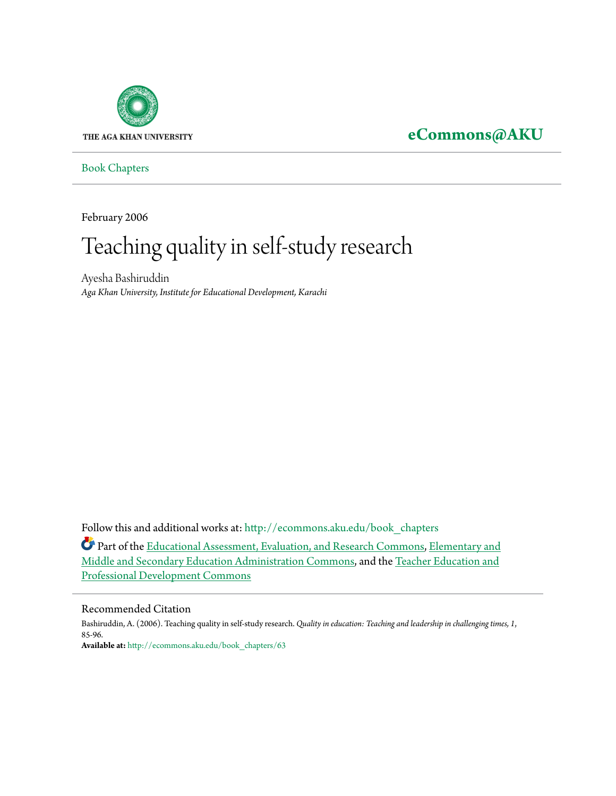

# **[eCommons@AKU](http://ecommons.aku.edu?utm_source=ecommons.aku.edu%2Fbook_chapters%2F63&utm_medium=PDF&utm_campaign=PDFCoverPages)**

[Book Chapters](http://ecommons.aku.edu/book_chapters?utm_source=ecommons.aku.edu%2Fbook_chapters%2F63&utm_medium=PDF&utm_campaign=PDFCoverPages)

February 2006

# Teaching quality in self-study research

Ayesha Bashiruddin *Aga Khan University, Institute for Educational Development, Karachi*

Follow this and additional works at: [http://ecommons.aku.edu/book\\_chapters](http://ecommons.aku.edu/book_chapters?utm_source=ecommons.aku.edu%2Fbook_chapters%2F63&utm_medium=PDF&utm_campaign=PDFCoverPages)

Part of the [Educational Assessment, Evaluation, and Research Commons,](http://network.bepress.com/hgg/discipline/796?utm_source=ecommons.aku.edu%2Fbook_chapters%2F63&utm_medium=PDF&utm_campaign=PDFCoverPages) [Elementary and](http://network.bepress.com/hgg/discipline/790?utm_source=ecommons.aku.edu%2Fbook_chapters%2F63&utm_medium=PDF&utm_campaign=PDFCoverPages) [Middle and Secondary Education Administration Commons](http://network.bepress.com/hgg/discipline/790?utm_source=ecommons.aku.edu%2Fbook_chapters%2F63&utm_medium=PDF&utm_campaign=PDFCoverPages), and the [Teacher Education and](http://network.bepress.com/hgg/discipline/803?utm_source=ecommons.aku.edu%2Fbook_chapters%2F63&utm_medium=PDF&utm_campaign=PDFCoverPages) [Professional Development Commons](http://network.bepress.com/hgg/discipline/803?utm_source=ecommons.aku.edu%2Fbook_chapters%2F63&utm_medium=PDF&utm_campaign=PDFCoverPages)

#### Recommended Citation

Bashiruddin, A. (2006). Teaching quality in self-study research. *Quality in education: Teaching and leadership in challenging times, 1*, 85-96. **Available at:** [http://ecommons.aku.edu/book\\_chapters/63](http://ecommons.aku.edu/book_chapters/63)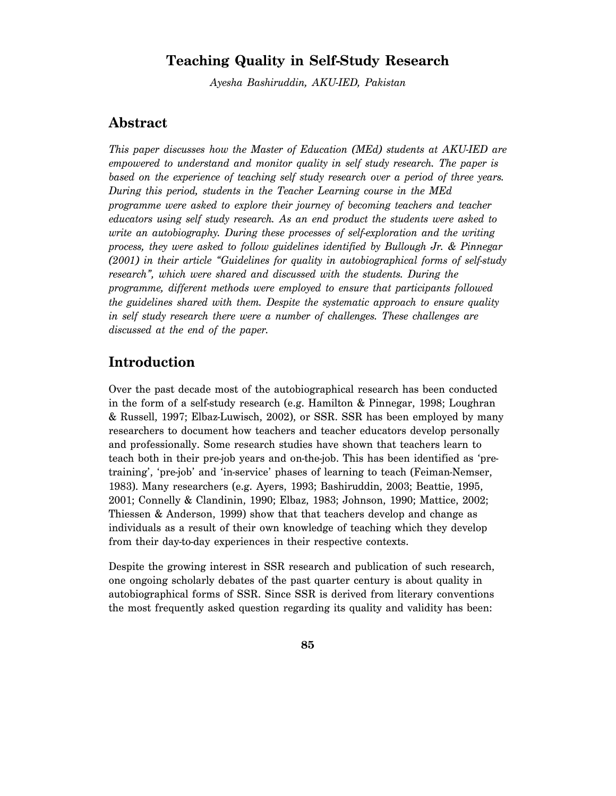# **Teaching Quality in Self-Study Research**

*Ayesha Bashiruddin, AKU-IED, Pakistan* 

# **Abstract**

*This paper discusses how the Master of Education (MEd) students at AKU-IED are empowered to understand and monitor quality in self study research. The paper is based on the experience of teaching self study research over a period of three years. During this period, students in the Teacher Learning course in the MEd programme were asked to explore their journey of becoming teachers and teacher educators using self study research. As an end product the students were asked to write an autobiography. During these processes of self-exploration and the writing process, they were asked to follow guidelines identified by Bullough Jr. & Pinnegar (2001) in their article "Guidelines for quality in autobiographical forms of self-study research", which were shared and discussed with the students. During the programme, different methods were employed to ensure that participants followed the guidelines shared with them. Despite the systematic approach to ensure quality in self study research there were a number of challenges. These challenges are discussed at the end of the paper.* 

# **Introduction**

Over the past decade most of the autobiographical research has been conducted in the form of a self-study research (e.g. Hamilton & Pinnegar, 1998; Loughran & Russell, 1997; Elbaz-Luwisch, 2002), or SSR. SSR has been employed by many researchers to document how teachers and teacher educators develop personally and professionally. Some research studies have shown that teachers learn to teach both in their pre-job years and on-the-job. This has been identified as 'pretraining', 'pre-job' and 'in-service' phases of learning to teach (Feiman-Nemser, 1983). Many researchers (e.g. Ayers, 1993; Bashiruddin, 2003; Beattie, 1995, 2001; Connelly & Clandinin, 1990; Elbaz, 1983; Johnson, 1990; Mattice, 2002; Thiessen & Anderson, 1999) show that that teachers develop and change as individuals as a result of their own knowledge of teaching which they develop from their day-to-day experiences in their respective contexts.

Despite the growing interest in SSR research and publication of such research, one ongoing scholarly debates of the past quarter century is about quality in autobiographical forms of SSR. Since SSR is derived from literary conventions the most frequently asked question regarding its quality and validity has been: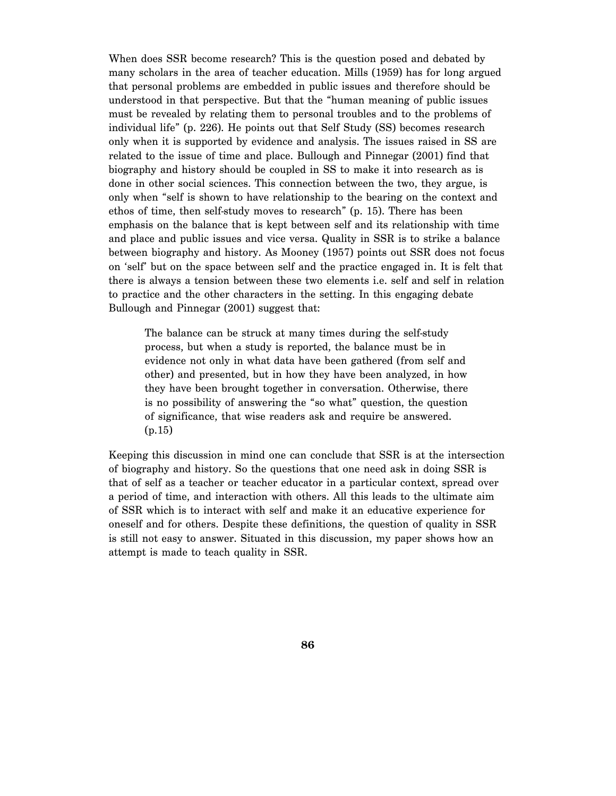When does SSR become research? This is the question posed and debated by many scholars in the area of teacher education. Mills (1959) has for long argued that personal problems are embedded in public issues and therefore should be understood in that perspective. But that the "human meaning of public issues must be revealed by relating them to personal troubles and to the problems of individual life" (p. 226). He points out that Self Study (SS) becomes research only when it is supported by evidence and analysis. The issues raised in SS are related to the issue of time and place. Bullough and Pinnegar (2001) find that biography and history should be coupled in SS to make it into research as is done in other social sciences. This connection between the two, they argue, is only when "self is shown to have relationship to the bearing on the context and ethos of time, then self-study moves to research" (p. 15). There has been emphasis on the balance that is kept between self and its relationship with time and place and public issues and vice versa. Quality in SSR is to strike a balance between biography and history. As Mooney (1957) points out SSR does not focus on 'self' but on the space between self and the practice engaged in. It is felt that there is always a tension between these two elements i.e. self and self in relation to practice and the other characters in the setting. In this engaging debate Bullough and Pinnegar (2001) suggest that:

The balance can be struck at many times during the self-study process, but when a study is reported, the balance must be in evidence not only in what data have been gathered (from self and other) and presented, but in how they have been analyzed, in how they have been brought together in conversation. Otherwise, there is no possibility of answering the "so what" question, the question of significance, that wise readers ask and require be answered. (p.15)

Keeping this discussion in mind one can conclude that SSR is at the intersection of biography and history. So the questions that one need ask in doing SSR is that of self as a teacher or teacher educator in a particular context, spread over a period of time, and interaction with others. All this leads to the ultimate aim of SSR which is to interact with self and make it an educative experience for oneself and for others. Despite these definitions, the question of quality in SSR is still not easy to answer. Situated in this discussion, my paper shows how an attempt is made to teach quality in SSR.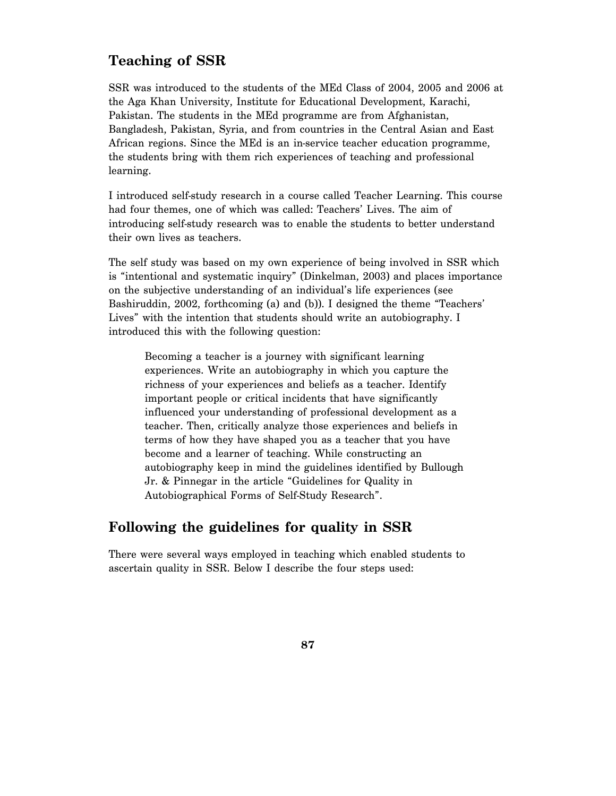# **Teaching of SSR**

SSR was introduced to the students of the MEd Class of 2004, 2005 and 2006 at the Aga Khan University, Institute for Educational Development, Karachi, Pakistan. The students in the MEd programme are from Afghanistan, Bangladesh, Pakistan, Syria, and from countries in the Central Asian and East African regions. Since the MEd is an in-service teacher education programme, the students bring with them rich experiences of teaching and professional learning.

I introduced self-study research in a course called Teacher Learning. This course had four themes, one of which was called: Teachers' Lives. The aim of introducing self-study research was to enable the students to better understand their own lives as teachers.

The self study was based on my own experience of being involved in SSR which is "intentional and systematic inquiry" (Dinkelman, 2003) and places importance on the subjective understanding of an individual's life experiences (see Bashiruddin, 2002, forthcoming (a) and (b)). I designed the theme "Teachers' Lives" with the intention that students should write an autobiography. I introduced this with the following question:

Becoming a teacher is a journey with significant learning experiences. Write an autobiography in which you capture the richness of your experiences and beliefs as a teacher. Identify important people or critical incidents that have significantly influenced your understanding of professional development as a teacher. Then, critically analyze those experiences and beliefs in terms of how they have shaped you as a teacher that you have become and a learner of teaching. While constructing an autobiography keep in mind the guidelines identified by Bullough Jr. & Pinnegar in the article "Guidelines for Quality in Autobiographical Forms of Self-Study Research".

# **Following the guidelines for quality in SSR**

There were several ways employed in teaching which enabled students to ascertain quality in SSR. Below I describe the four steps used: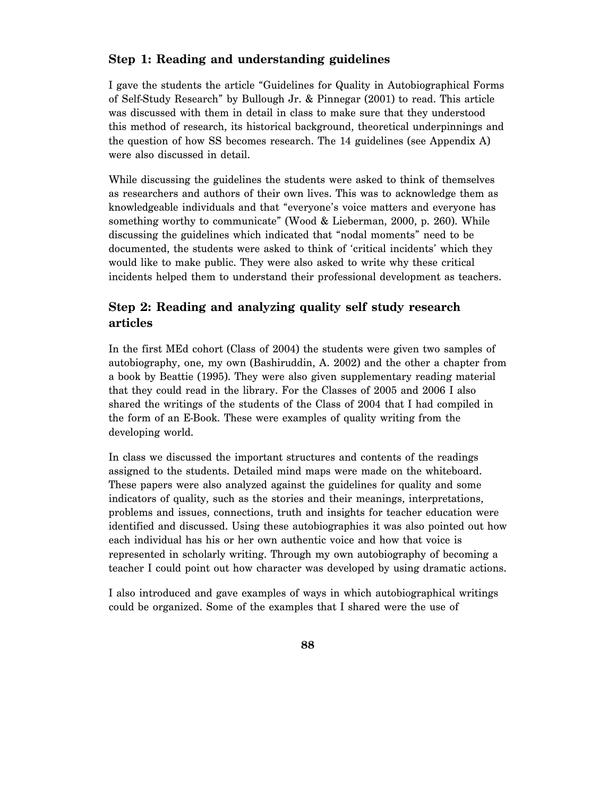### **Step 1: Reading and understanding guidelines**

I gave the students the article "Guidelines for Quality in Autobiographical Forms of Self-Study Research" by Bullough Jr. & Pinnegar (2001) to read. This article was discussed with them in detail in class to make sure that they understood this method of research, its historical background, theoretical underpinnings and the question of how SS becomes research. The 14 guidelines (see Appendix A) were also discussed in detail.

While discussing the guidelines the students were asked to think of themselves as researchers and authors of their own lives. This was to acknowledge them as knowledgeable individuals and that "everyone's voice matters and everyone has something worthy to communicate" (Wood & Lieberman, 2000, p. 260). While discussing the guidelines which indicated that "nodal moments" need to be documented, the students were asked to think of 'critical incidents' which they would like to make public. They were also asked to write why these critical incidents helped them to understand their professional development as teachers.

### **Step 2: Reading and analyzing quality self study research articles**

In the first MEd cohort (Class of 2004) the students were given two samples of autobiography, one, my own (Bashiruddin, A. 2002) and the other a chapter from a book by Beattie (1995). They were also given supplementary reading material that they could read in the library. For the Classes of 2005 and 2006 I also shared the writings of the students of the Class of 2004 that I had compiled in the form of an E-Book. These were examples of quality writing from the developing world.

In class we discussed the important structures and contents of the readings assigned to the students. Detailed mind maps were made on the whiteboard. These papers were also analyzed against the guidelines for quality and some indicators of quality, such as the stories and their meanings, interpretations, problems and issues, connections, truth and insights for teacher education were identified and discussed. Using these autobiographies it was also pointed out how each individual has his or her own authentic voice and how that voice is represented in scholarly writing. Through my own autobiography of becoming a teacher I could point out how character was developed by using dramatic actions.

I also introduced and gave examples of ways in which autobiographical writings could be organized. Some of the examples that I shared were the use of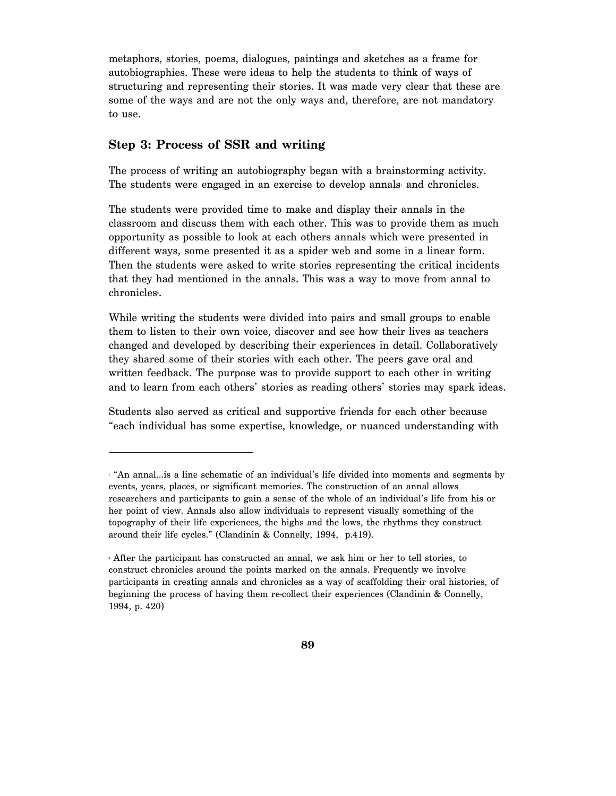metaphors, stories, poems, dialogues, paintings and sketches as a frame for autobiographies. These were ideas to help the students to think of ways of structuring and representing their stories. It was made very clear that these are some of the ways and are not the only ways and, therefore, are not mandatory to use.

### **Step 3: Process of SSR and writing**

 $\overline{a}$ 

The process of writing an autobiography began with a brainstorming activity. The students were engaged in an exercise to develop annals and chronicles.

The students were provided time to make and display their annals in the classroom and discuss them with each other. This was to provide them as much opportunity as possible to look at each others annals which were presented in different ways, some presented it as a spider web and some in a linear form. Then the students were asked to write stories representing the critical incidents that they had mentioned in the annals. This was a way to move from annal to  ${\rm chronicles.}$ 

While writing the students were divided into pairs and small groups to enable them to listen to their own voice, discover and see how their lives as teachers changed and developed by describing their experiences in detail. Collaboratively they shared some of their stories with each other. The peers gave oral and written feedback. The purpose was to provide support to each other in writing and to learn from each others' stories as reading others' stories may spark ideas.

Students also served as critical and supportive friends for each other because "each individual has some expertise, knowledge, or nuanced understanding with

<sup>1</sup> "An annal…is a line schematic of an individual's life divided into moments and segments by events, years, places, or significant memories. The construction of an annal allows researchers and participants to gain a sense of the whole of an individual's life from his or her point of view. Annals also allow individuals to represent visually something of the topography of their life experiences, the highs and the lows, the rhythms they construct around their life cycles." (Clandinin & Connelly, 1994, p.419).

<sup>2</sup> After the participant has constructed an annal, we ask him or her to tell stories, to construct chronicles around the points marked on the annals. Frequently we involve participants in creating annals and chronicles as a way of scaffolding their oral histories, of beginning the process of having them re-collect their experiences (Clandinin & Connelly, 1994, p. 420)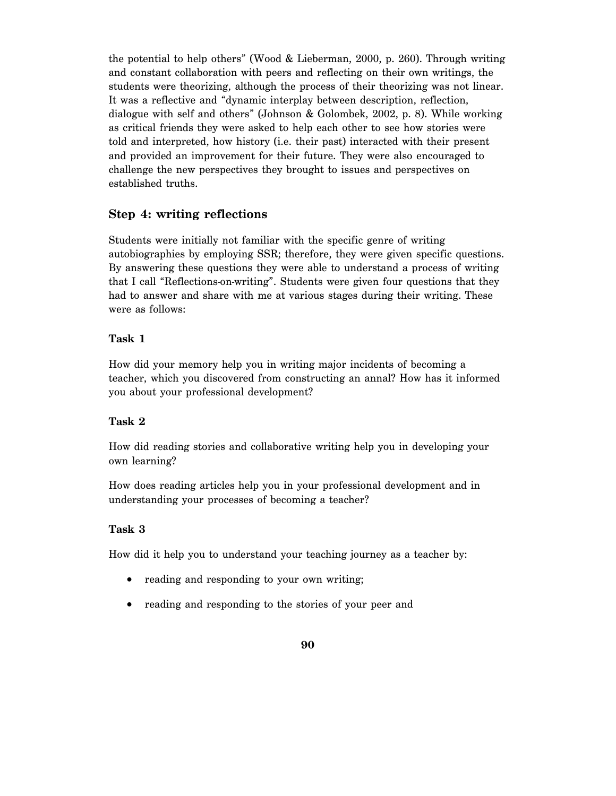the potential to help others" (Wood & Lieberman, 2000, p. 260). Through writing and constant collaboration with peers and reflecting on their own writings, the students were theorizing, although the process of their theorizing was not linear. It was a reflective and "dynamic interplay between description, reflection, dialogue with self and others" (Johnson & Golombek, 2002, p. 8). While working as critical friends they were asked to help each other to see how stories were told and interpreted, how history (i.e. their past) interacted with their present and provided an improvement for their future. They were also encouraged to challenge the new perspectives they brought to issues and perspectives on established truths.

### **Step 4: writing reflections**

Students were initially not familiar with the specific genre of writing autobiographies by employing SSR; therefore, they were given specific questions. By answering these questions they were able to understand a process of writing that I call "Reflections-on-writing". Students were given four questions that they had to answer and share with me at various stages during their writing. These were as follows:

#### **Task 1**

How did your memory help you in writing major incidents of becoming a teacher, which you discovered from constructing an annal? How has it informed you about your professional development?

#### **Task 2**

How did reading stories and collaborative writing help you in developing your own learning?

How does reading articles help you in your professional development and in understanding your processes of becoming a teacher?

#### **Task 3**

How did it help you to understand your teaching journey as a teacher by:

- reading and responding to your own writing;
- reading and responding to the stories of your peer and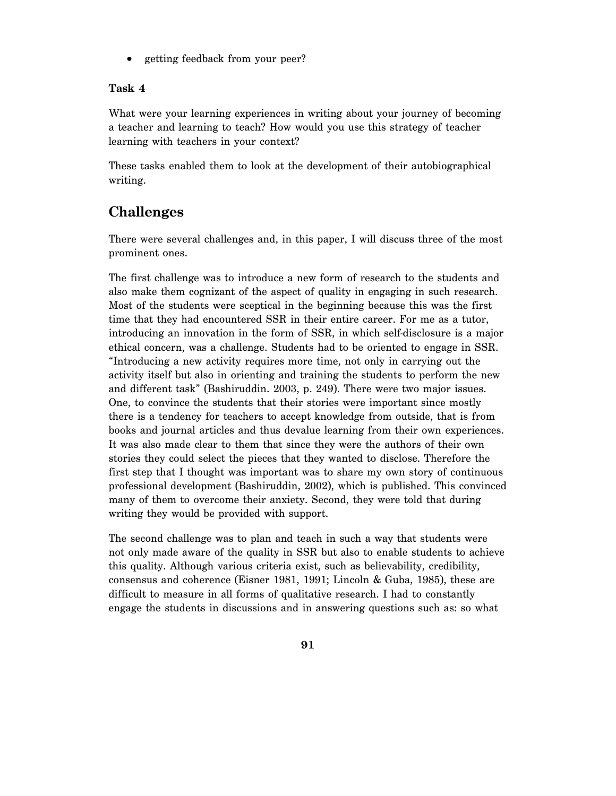• getting feedback from your peer?

#### **Task 4**

What were your learning experiences in writing about your journey of becoming a teacher and learning to teach? How would you use this strategy of teacher learning with teachers in your context?

These tasks enabled them to look at the development of their autobiographical writing.

# **Challenges**

There were several challenges and, in this paper, I will discuss three of the most prominent ones.

The first challenge was to introduce a new form of research to the students and also make them cognizant of the aspect of quality in engaging in such research. Most of the students were sceptical in the beginning because this was the first time that they had encountered SSR in their entire career. For me as a tutor, introducing an innovation in the form of SSR, in which self-disclosure is a major ethical concern, was a challenge. Students had to be oriented to engage in SSR. "Introducing a new activity requires more time, not only in carrying out the activity itself but also in orienting and training the students to perform the new and different task" (Bashiruddin. 2003, p. 249). There were two major issues. One, to convince the students that their stories were important since mostly there is a tendency for teachers to accept knowledge from outside, that is from books and journal articles and thus devalue learning from their own experiences. It was also made clear to them that since they were the authors of their own stories they could select the pieces that they wanted to disclose. Therefore the first step that I thought was important was to share my own story of continuous professional development (Bashiruddin, 2002), which is published. This convinced many of them to overcome their anxiety. Second, they were told that during writing they would be provided with support.

The second challenge was to plan and teach in such a way that students were not only made aware of the quality in SSR but also to enable students to achieve this quality. Although various criteria exist, such as believability, credibility, consensus and coherence (Eisner 1981, 1991; Lincoln & Guba, 1985), these are difficult to measure in all forms of qualitative research. I had to constantly engage the students in discussions and in answering questions such as: so what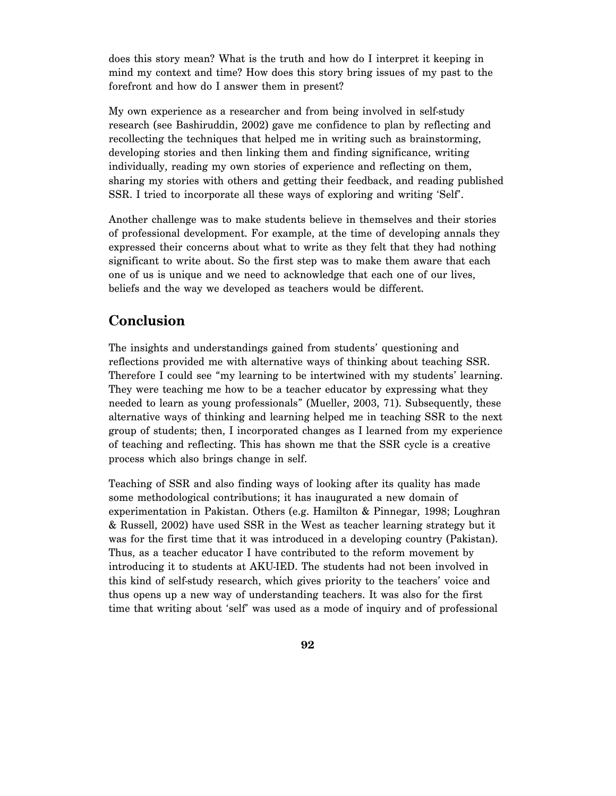does this story mean? What is the truth and how do I interpret it keeping in mind my context and time? How does this story bring issues of my past to the forefront and how do I answer them in present?

My own experience as a researcher and from being involved in self-study research (see Bashiruddin, 2002) gave me confidence to plan by reflecting and recollecting the techniques that helped me in writing such as brainstorming, developing stories and then linking them and finding significance, writing individually, reading my own stories of experience and reflecting on them, sharing my stories with others and getting their feedback, and reading published SSR. I tried to incorporate all these ways of exploring and writing 'Self'.

Another challenge was to make students believe in themselves and their stories of professional development. For example, at the time of developing annals they expressed their concerns about what to write as they felt that they had nothing significant to write about. So the first step was to make them aware that each one of us is unique and we need to acknowledge that each one of our lives, beliefs and the way we developed as teachers would be different.

# **Conclusion**

The insights and understandings gained from students' questioning and reflections provided me with alternative ways of thinking about teaching SSR. Therefore I could see "my learning to be intertwined with my students' learning. They were teaching me how to be a teacher educator by expressing what they needed to learn as young professionals" (Mueller, 2003, 71). Subsequently, these alternative ways of thinking and learning helped me in teaching SSR to the next group of students; then, I incorporated changes as I learned from my experience of teaching and reflecting. This has shown me that the SSR cycle is a creative process which also brings change in self.

Teaching of SSR and also finding ways of looking after its quality has made some methodological contributions; it has inaugurated a new domain of experimentation in Pakistan. Others (e.g. Hamilton & Pinnegar, 1998; Loughran & Russell, 2002) have used SSR in the West as teacher learning strategy but it was for the first time that it was introduced in a developing country (Pakistan). Thus, as a teacher educator I have contributed to the reform movement by introducing it to students at AKU-IED. The students had not been involved in this kind of self-study research, which gives priority to the teachers' voice and thus opens up a new way of understanding teachers. It was also for the first time that writing about 'self' was used as a mode of inquiry and of professional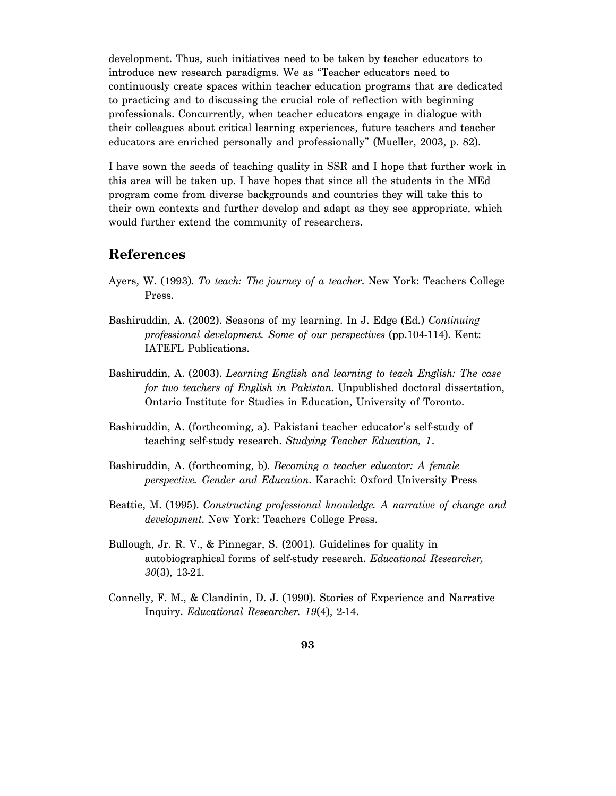development. Thus, such initiatives need to be taken by teacher educators to introduce new research paradigms. We as "Teacher educators need to continuously create spaces within teacher education programs that are dedicated to practicing and to discussing the crucial role of reflection with beginning professionals. Concurrently, when teacher educators engage in dialogue with their colleagues about critical learning experiences, future teachers and teacher educators are enriched personally and professionally" (Mueller, 2003, p. 82).

I have sown the seeds of teaching quality in SSR and I hope that further work in this area will be taken up. I have hopes that since all the students in the MEd program come from diverse backgrounds and countries they will take this to their own contexts and further develop and adapt as they see appropriate, which would further extend the community of researchers.

### **References**

- Ayers, W. (1993). *To teach: The journey of a teacher*. New York: Teachers College Press.
- Bashiruddin, A. (2002). Seasons of my learning. In J. Edge (Ed.) *Continuing professional development. Some of our perspectives* (pp.104-114). Kent: IATEFL Publications.
- Bashiruddin, A. (2003). *Learning English and learning to teach English: The case for two teachers of English in Pakistan*. Unpublished doctoral dissertation, Ontario Institute for Studies in Education, University of Toronto.
- Bashiruddin, A. (forthcoming, a). Pakistani teacher educator's self-study of teaching self-study research. *Studying Teacher Education, 1*.
- Bashiruddin, A. (forthcoming, b). *Becoming a teacher educator: A female perspective. Gender and Education*. Karachi: Oxford University Press
- Beattie, M. (1995). *Constructing professional knowledge. A narrative of change and development*. New York: Teachers College Press.
- Bullough, Jr. R. V., & Pinnegar, S. (2001). Guidelines for quality in autobiographical forms of self-study research. *Educational Researcher, 30*(3), 13-21.
- Connelly, F. M., & Clandinin, D. J. (1990). Stories of Experience and Narrative Inquiry. *Educational Researcher. 19*(4), 2-14.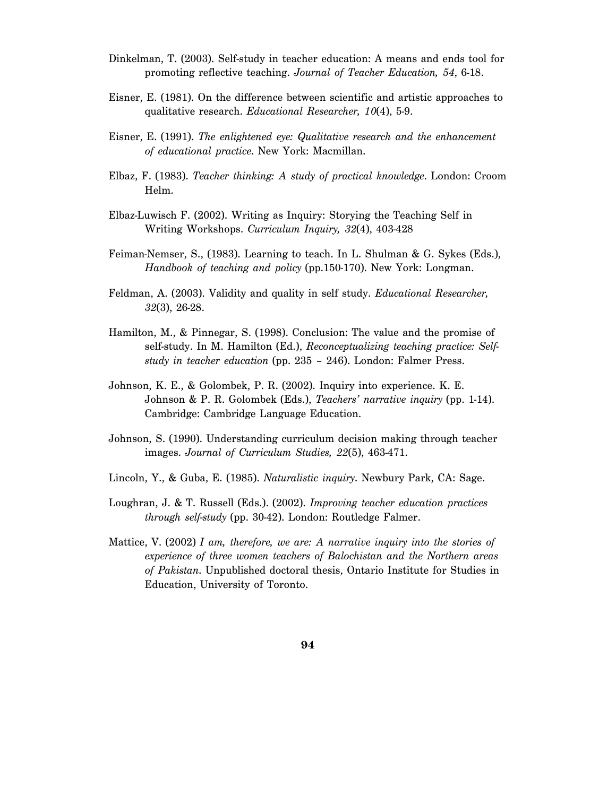- Dinkelman, T. (2003). Self-study in teacher education: A means and ends tool for promoting reflective teaching. *Journal of Teacher Education, 54*, 6-18.
- Eisner, E. (1981). On the difference between scientific and artistic approaches to qualitative research. *Educational Researcher, 10*(4), 5-9.
- Eisner, E. (1991). *The enlightened eye: Qualitative research and the enhancement of educational practice*. New York: Macmillan.
- Elbaz, F. (1983). *Teacher thinking: A study of practical knowledge*. London: Croom Helm.
- Elbaz-Luwisch F. (2002). Writing as Inquiry: Storying the Teaching Self in Writing Workshops. *Curriculum Inquiry, 32*(4), 403-428
- Feiman-Nemser, S., (1983). Learning to teach. In L. Shulman & G. Sykes (Eds.), *Handbook of teaching and policy* (pp.150-170). New York: Longman.
- Feldman, A. (2003). Validity and quality in self study. *Educational Researcher, 32*(3), 26-28.
- Hamilton, M., & Pinnegar, S. (1998). Conclusion: The value and the promise of self-study. In M. Hamilton (Ed.), *Reconceptualizing teaching practice: Selfstudy in teacher education* (pp. 235 – 246). London: Falmer Press.
- Johnson, K. E., & Golombek, P. R. (2002). Inquiry into experience. K. E. Johnson & P. R. Golombek (Eds.), *Teachers' narrative inquiry* (pp. 1-14). Cambridge: Cambridge Language Education.
- Johnson, S. (1990). Understanding curriculum decision making through teacher images. *Journal of Curriculum Studies, 22*(5), 463-471.
- Lincoln, Y., & Guba, E. (1985). *Naturalistic inquiry*. Newbury Park, CA: Sage.
- Loughran, J. & T. Russell (Eds.). (2002). *Improving teacher education practices through self-study* (pp. 30-42). London: Routledge Falmer.
- Mattice, V. (2002) *I am, therefore, we are: A narrative inquiry into the stories of experience of three women teachers of Balochistan and the Northern areas of Pakistan*. Unpublished doctoral thesis, Ontario Institute for Studies in Education, University of Toronto.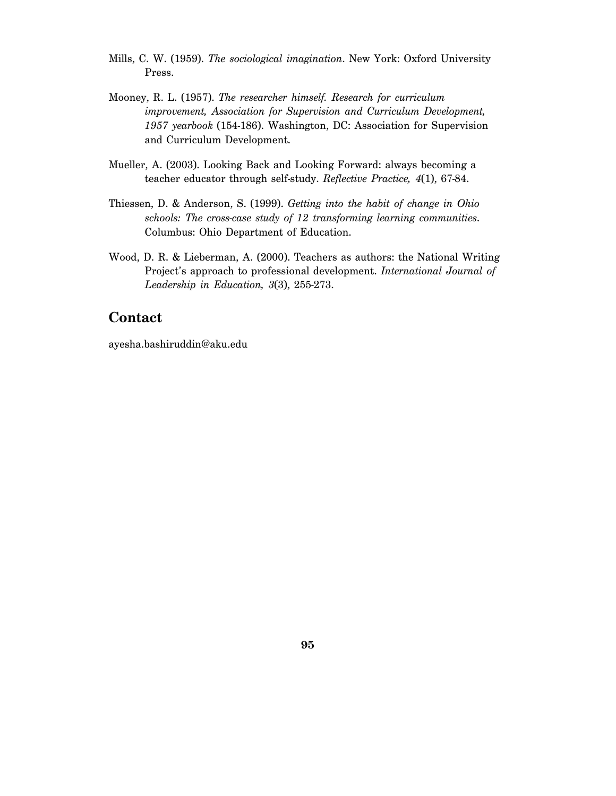- Mills, C. W. (1959). *The sociological imagination*. New York: Oxford University Press.
- Mooney, R. L. (1957). *The researcher himself. Research for curriculum improvement, Association for Supervision and Curriculum Development, 1957 yearbook* (154-186). Washington, DC: Association for Supervision and Curriculum Development.
- Mueller, A. (2003). Looking Back and Looking Forward: always becoming a teacher educator through self-study. *Reflective Practice, 4*(1), 67-84.
- Thiessen, D. & Anderson, S. (1999). *Getting into the habit of change in Ohio schools: The cross-case study of 12 transforming learning communities*. Columbus: Ohio Department of Education.
- Wood, D. R. & Lieberman, A. (2000). Teachers as authors: the National Writing Project's approach to professional development. *International Journal of Leadership in Education, 3*(3), 255-273.

### **Contact**

ayesha.bashiruddin@aku.edu